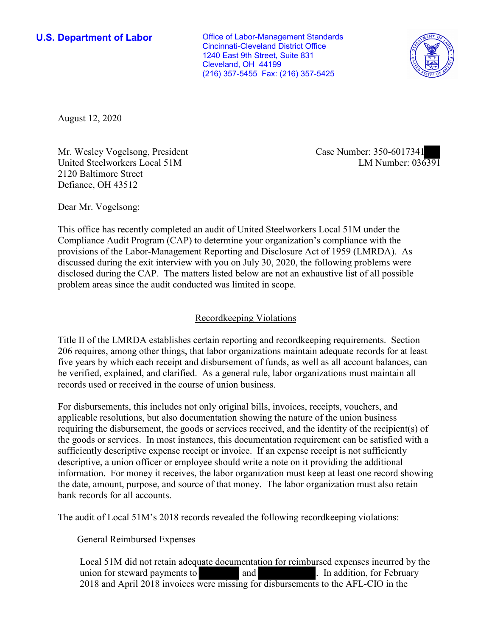Cleveland, OH 44199 **U.S. Department of Labor Conservative Conservative Conservative Conservative U.S.** Department of Labor Cincinnati-Cleveland District Office 1240 East 9th Street, Suite 831 (216) 357-5455 Fax: (216) 357-5425



August 12, 2020

Mr. Wesley Vogelsong, President United Steelworkers Local 51M 2120 Baltimore Street Defiance, OH 43512

Case Number: 350-6017341<br>LM Number: 036391

Dear Mr. Vogelsong:

 This office has recently completed an audit of United Steelworkers Local 51M under the Compliance Audit Program (CAP) to determine your organization's compliance with the provisions of the Labor-Management Reporting and Disclosure Act of 1959 (LMRDA). As discussed during the exit interview with you on July 30, 2020, the following problems were disclosed during the CAP. The matters listed below are not an exhaustive list of all possible problem areas since the audit conducted was limited in scope.

## Recordkeeping Violations

 Title II of the LMRDA establishes certain reporting and recordkeeping requirements. Section 206 requires, among other things, that labor organizations maintain adequate records for at least five years by which each receipt and disbursement of funds, as well as all account balances, can be verified, explained, and clarified. As a general rule, labor organizations must maintain all records used or received in the course of union business.

For disbursements, this includes not only original bills, invoices, receipts, vouchers, and applicable resolutions, but also documentation showing the nature of the union business requiring the disbursement, the goods or services received, and the identity of the recipient(s) of the goods or services. In most instances, this documentation requirement can be satisfied with a sufficiently descriptive expense receipt or invoice. If an expense receipt is not sufficiently descriptive, a union officer or employee should write a note on it providing the additional information. For money it receives, the labor organization must keep at least one record showing the date, amount, purpose, and source of that money. The labor organization must also retain bank records for all accounts.

The audit of Local 51M's 2018 records revealed the following recordkeeping violations:

General Reimbursed Expenses

uate d<br>were union for steward payments to **and** and **and example 1** In addition, for February 2018 and April 2018 invoices were missing for disbursements to the AFL-CIO in the Local 51M did not retain adequate documentation for reimbursed expenses incurred by the and